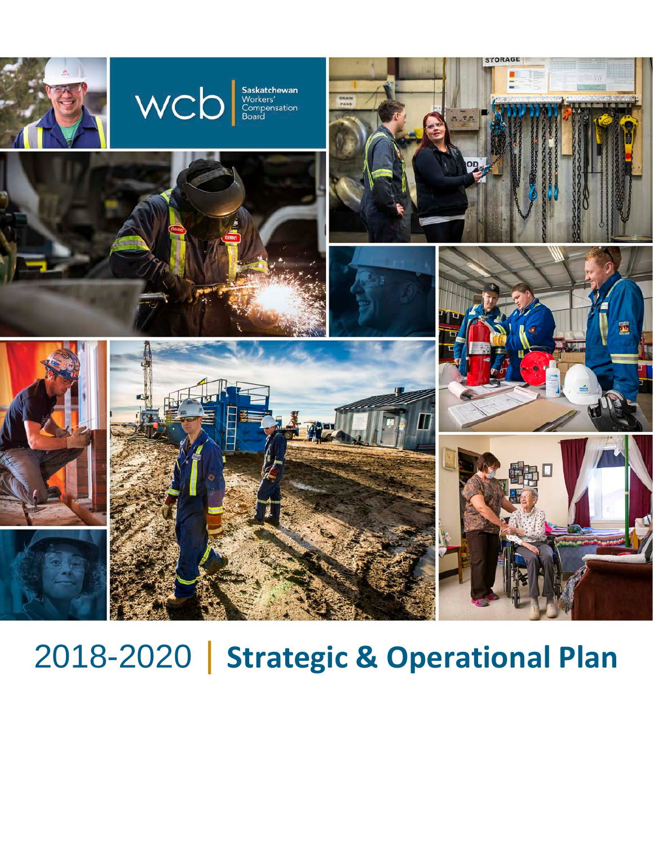

# 2018-2020 | **Strategic & Operational Plan**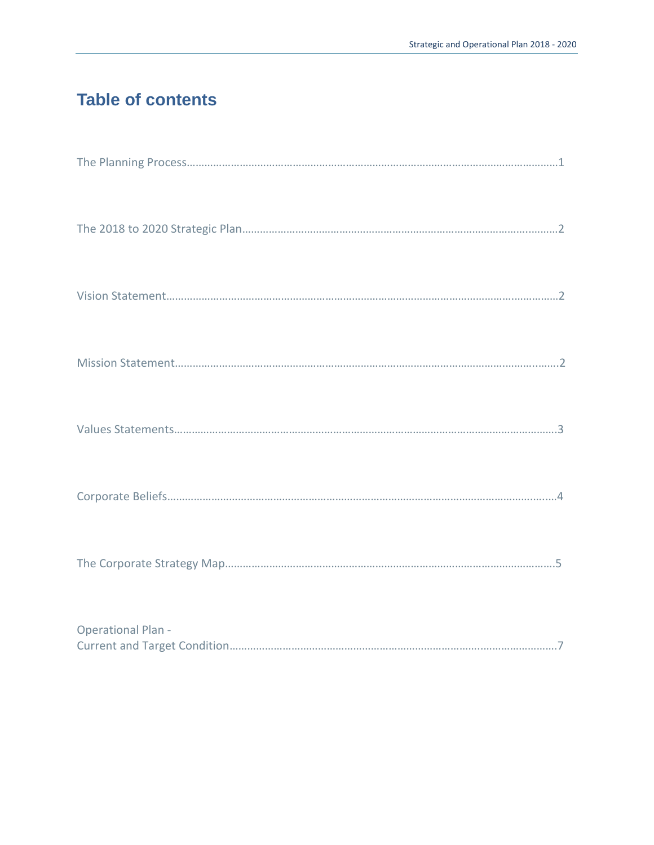## <span id="page-1-0"></span>**Table of contents**

| <b>Operational Plan -</b> |
|---------------------------|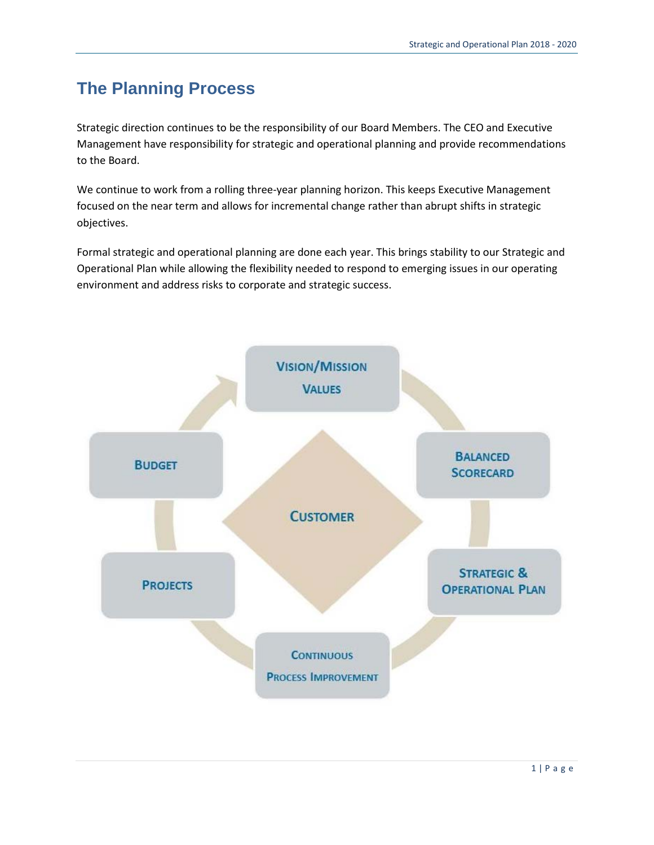# <span id="page-2-0"></span>**The Planning Process**

Strategic direction continues to be the responsibility of our Board Members. The CEO and Executive Management have responsibility for strategic and operational planning and provide recommendations to the Board.

We continue to work from a rolling three-year planning horizon. This keeps Executive Management focused on the near term and allows for incremental change rather than abrupt shifts in strategic objectives.

Formal strategic and operational planning are done each year. This brings stability to our Strategic and Operational Plan while allowing the flexibility needed to respond to emerging issues in our operating environment and address risks to corporate and strategic success.

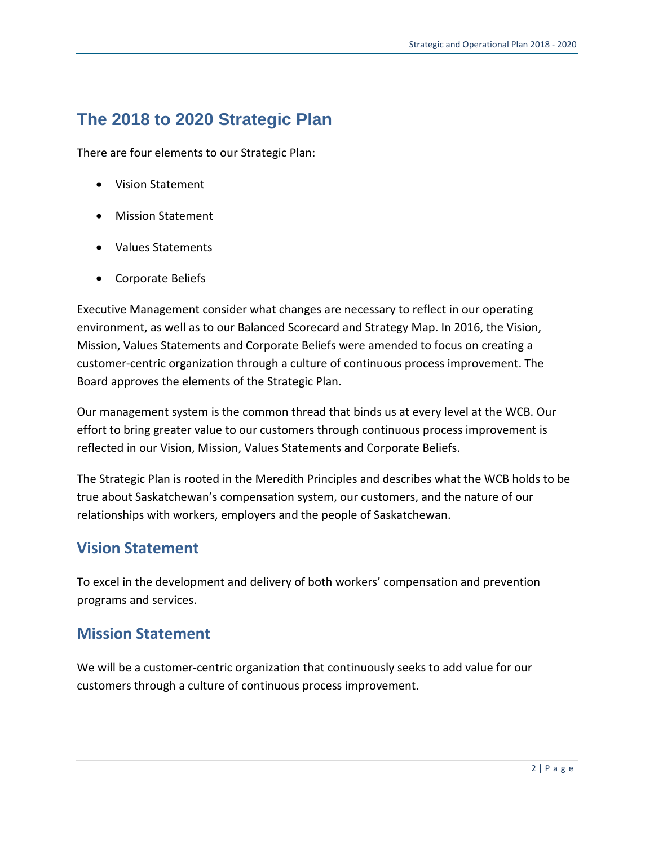## **The 2018 to 2020 Strategic Plan**

There are four elements to our Strategic Plan:

- Vision Statement
- Mission Statement
- Values Statements
- Corporate Beliefs

Executive Management consider what changes are necessary to reflect in our operating environment, as well as to our Balanced Scorecard and Strategy Map. In 2016, the Vision, Mission, Values Statements and Corporate Beliefs were amended to focus on creating a customer-centric organization through a culture of continuous process improvement. The Board approves the elements of the Strategic Plan.

Our management system is the common thread that binds us at every level at the WCB. Our effort to bring greater value to our customers through continuous process improvement is reflected in our Vision, Mission, Values Statements and Corporate Beliefs.

The Strategic Plan is rooted in the Meredith Principles and describes what the WCB holds to be true about Saskatchewan's compensation system, our customers, and the nature of our relationships with workers, employers and the people of Saskatchewan.

#### **Vision Statement**

To excel in the development and delivery of both workers' compensation and prevention programs and services.

#### **Mission Statement**

We will be a customer-centric organization that continuously seeks to add value for our customers through a culture of continuous process improvement.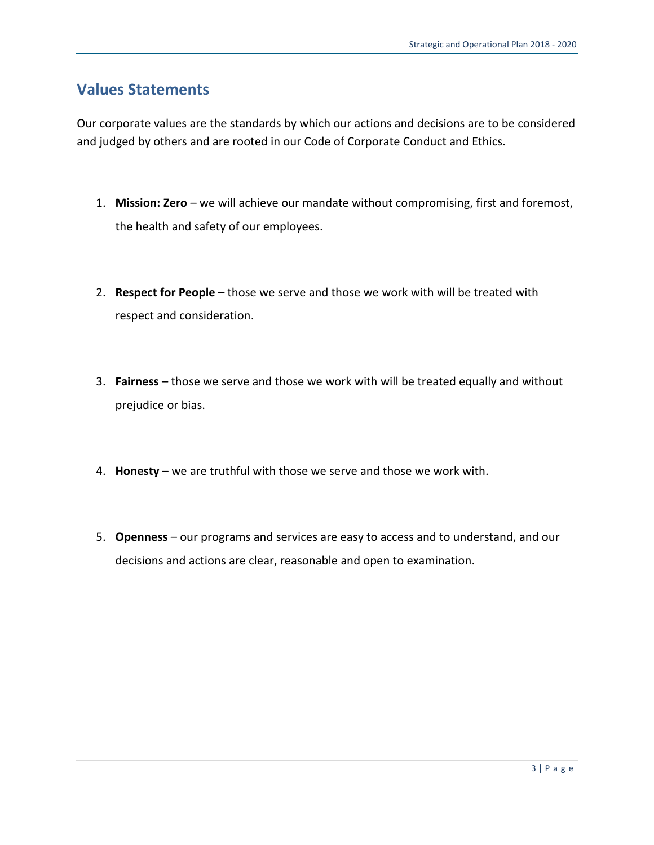#### **Values Statements**

Our corporate values are the standards by which our actions and decisions are to be considered and judged by others and are rooted in our Code of Corporate Conduct and Ethics.

- 1. **Mission: Zero** we will achieve our mandate without compromising, first and foremost, the health and safety of our employees.
- 2. **Respect for People** those we serve and those we work with will be treated with respect and consideration.
- 3. **Fairness** those we serve and those we work with will be treated equally and without prejudice or bias.
- 4. **Honesty** we are truthful with those we serve and those we work with.
- 5. **Openness** our programs and services are easy to access and to understand, and our decisions and actions are clear, reasonable and open to examination.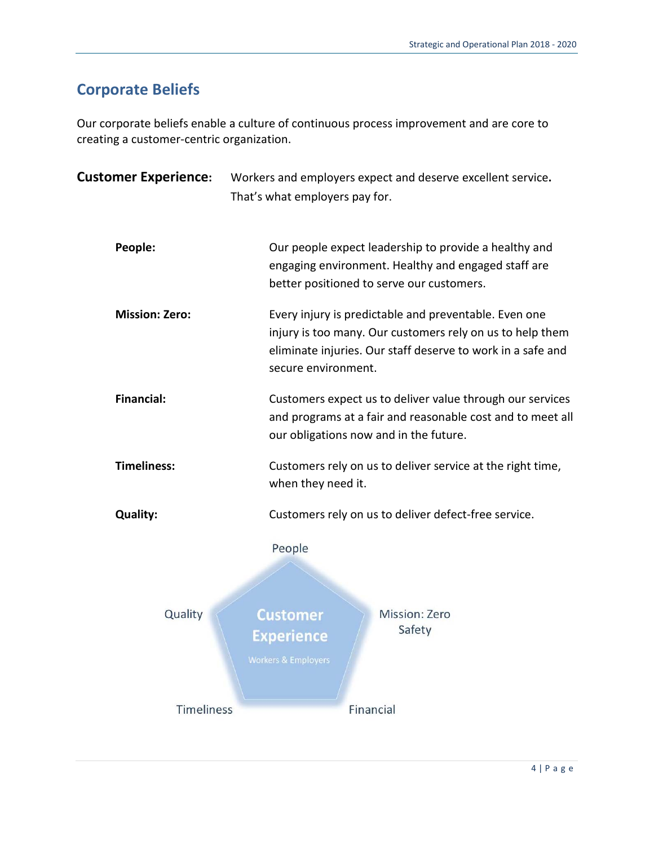## **Corporate Beliefs**

Our corporate beliefs enable a culture of continuous process improvement and are core to creating a customer-centric organization.

| <b>Customer Experience:</b>                                                                                                                                                                                                       | Workers and employers expect and deserve excellent service.<br>That's what employers pay for.                                                             |  |  |  |  |
|-----------------------------------------------------------------------------------------------------------------------------------------------------------------------------------------------------------------------------------|-----------------------------------------------------------------------------------------------------------------------------------------------------------|--|--|--|--|
| People:                                                                                                                                                                                                                           | Our people expect leadership to provide a healthy and<br>engaging environment. Healthy and engaged staff are<br>better positioned to serve our customers. |  |  |  |  |
| <b>Mission: Zero:</b><br>Every injury is predictable and preventable. Even one<br>injury is too many. Our customers rely on us to help them<br>eliminate injuries. Our staff deserve to work in a safe and<br>secure environment. |                                                                                                                                                           |  |  |  |  |
| <b>Financial:</b><br>Customers expect us to deliver value through our services<br>and programs at a fair and reasonable cost and to meet all<br>our obligations now and in the future.                                            |                                                                                                                                                           |  |  |  |  |
| <b>Timeliness:</b>                                                                                                                                                                                                                | Customers rely on us to deliver service at the right time,<br>when they need it.                                                                          |  |  |  |  |
| <b>Quality:</b>                                                                                                                                                                                                                   | Customers rely on us to deliver defect-free service.                                                                                                      |  |  |  |  |
|                                                                                                                                                                                                                                   | People                                                                                                                                                    |  |  |  |  |
| Quality                                                                                                                                                                                                                           | <b>Mission: Zero</b><br><b>Customer</b><br>Safety<br>Experience<br><b>Workers &amp; Employers</b>                                                         |  |  |  |  |
| Timeliness                                                                                                                                                                                                                        | Financial                                                                                                                                                 |  |  |  |  |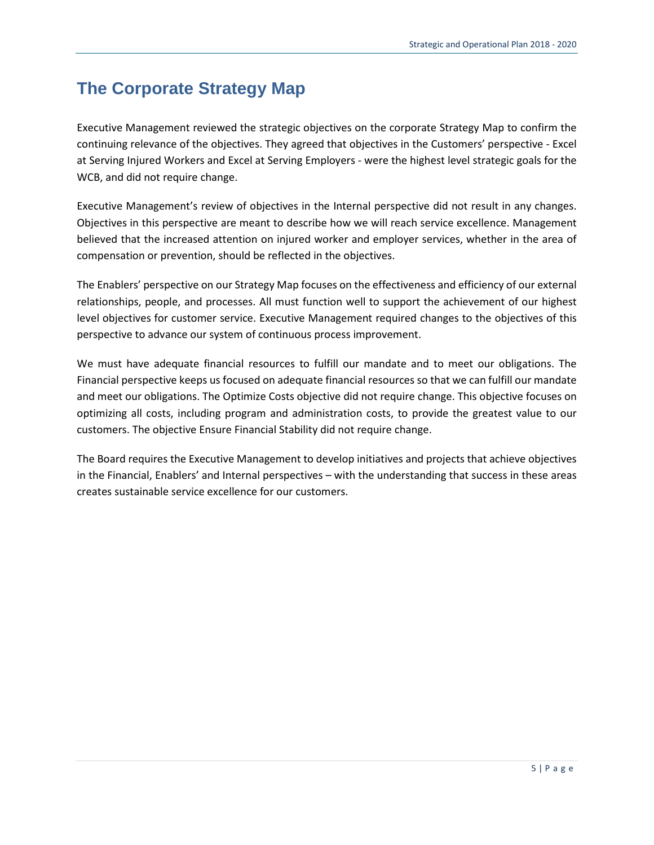## **The Corporate Strategy Map**

Executive Management reviewed the strategic objectives on the corporate Strategy Map to confirm the continuing relevance of the objectives. They agreed that objectives in the Customers' perspective - Excel at Serving Injured Workers and Excel at Serving Employers - were the highest level strategic goals for the WCB, and did not require change.

Executive Management's review of objectives in the Internal perspective did not result in any changes. Objectives in this perspective are meant to describe how we will reach service excellence. Management believed that the increased attention on injured worker and employer services, whether in the area of compensation or prevention, should be reflected in the objectives.

The Enablers' perspective on our Strategy Map focuses on the effectiveness and efficiency of our external relationships, people, and processes. All must function well to support the achievement of our highest level objectives for customer service. Executive Management required changes to the objectives of this perspective to advance our system of continuous process improvement.

We must have adequate financial resources to fulfill our mandate and to meet our obligations. The Financial perspective keeps us focused on adequate financial resources so that we can fulfill our mandate and meet our obligations. The Optimize Costs objective did not require change. This objective focuses on optimizing all costs, including program and administration costs, to provide the greatest value to our customers. The objective Ensure Financial Stability did not require change.

The Board requires the Executive Management to develop initiatives and projects that achieve objectives in the Financial, Enablers' and Internal perspectives – with the understanding that success in these areas creates sustainable service excellence for our customers.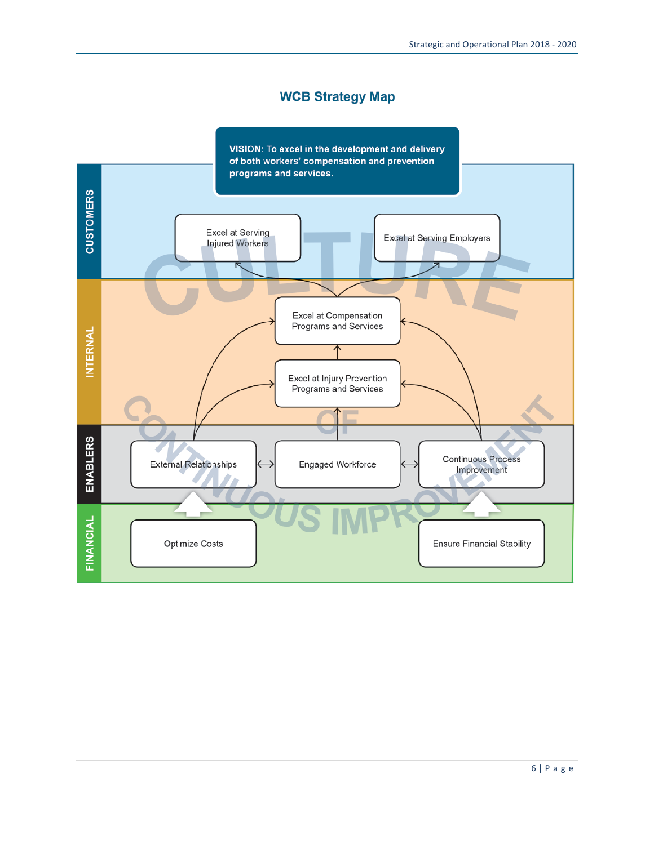#### **WCB Strategy Map**